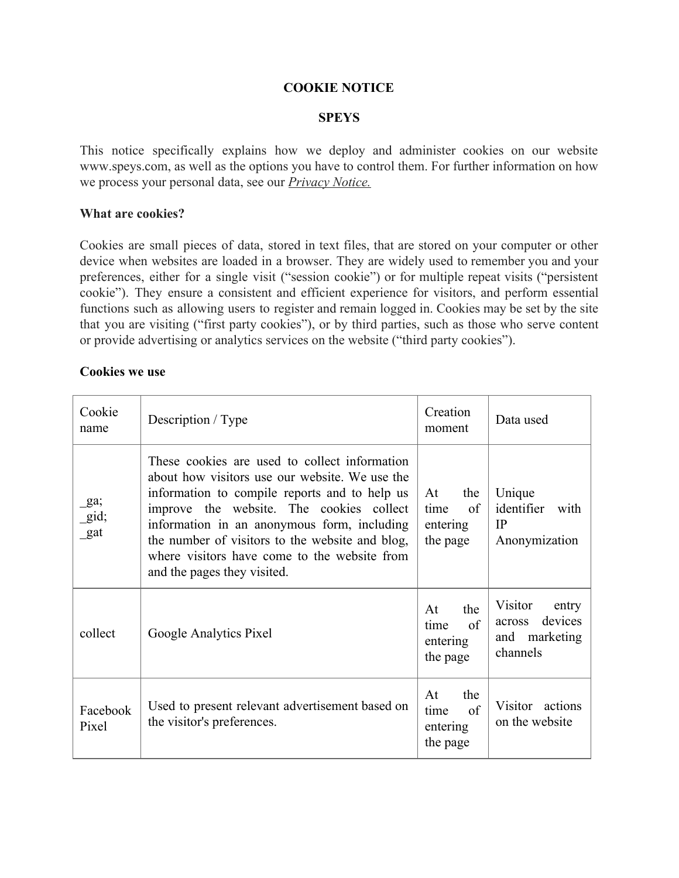## **COOKIE NOTICE**

## **SPEYS**

This notice specifically explains how we deploy and administer cookies on our website www.speys.com, as well as the options you have to control them. For further information on how we process your personal data, see our *Privacy Notice.*

## **What are cookies?**

Cookies are small pieces of data, stored in text files, that are stored on your computer or other device when websites are loaded in a browser. They are widely used to remember you and your preferences, either for a single visit ("session cookie") or for multiple repeat visits ("persistent cookie"). They ensure a consistent and efficient experience for visitors, and perform essential functions such as allowing users to register and remain logged in. Cookies may be set by the site that you are visiting ("first party cookies"), or by third parties, such as those who serve content or provide advertising or analytics services on the website ("third party cookies").

#### **Cookies we use**

| Cookie<br>name                     | Description / Type                                                                                                                                                                                                                                                                                                                                                            | Creation<br>moment                              | Data used                                                                    |
|------------------------------------|-------------------------------------------------------------------------------------------------------------------------------------------------------------------------------------------------------------------------------------------------------------------------------------------------------------------------------------------------------------------------------|-------------------------------------------------|------------------------------------------------------------------------------|
| $\mathbf{g}$ a;<br>$\_gid;$<br>gat | These cookies are used to collect information<br>about how visitors use our website. We use the<br>information to compile reports and to help us<br>improve the website. The cookies collect<br>information in an anonymous form, including<br>the number of visitors to the website and blog,<br>where visitors have come to the website from<br>and the pages they visited. | At<br>the<br>of<br>time<br>entering<br>the page | Unique<br>identifier<br>with<br>IP<br>Anonymization                          |
| collect                            | Google Analytics Pixel                                                                                                                                                                                                                                                                                                                                                        | the<br>At<br>of<br>time<br>entering<br>the page | Visitor<br>entry<br>devices<br><b>across</b><br>marketing<br>and<br>channels |
| Facebook<br>Pixel                  | Used to present relevant advertisement based on<br>the visitor's preferences.                                                                                                                                                                                                                                                                                                 | At<br>the<br>of<br>time<br>entering<br>the page | Visitor actions<br>on the website                                            |